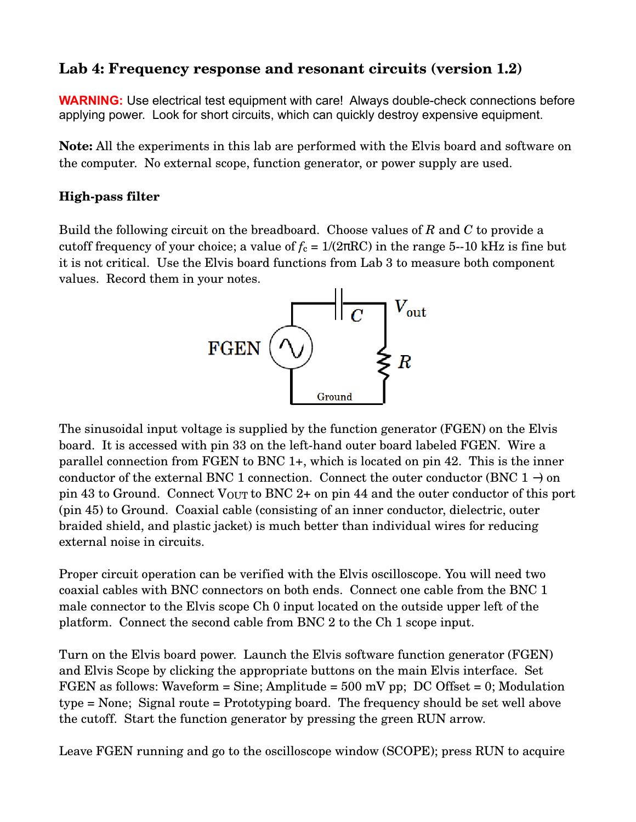# **Lab 4: Frequency response and resonant circuits (version 1.2)**

**WARNING:** Use electrical test equipment with care! Always double-check connections before applying power. Look for short circuits, which can quickly destroy expensive equipment.

**Note:** All the experiments in this lab are performed with the Elvis board and software on the computer. No external scope, function generator, or power supply are used.

## **High-pass filter**

Build the following circuit on the breadboard. Choose values of *R* and *C* to provide a cutoff frequency of your choice; a value of  $f_c = 1/(2\pi RC)$  in the range 5--10 kHz is fine but it is not critical. Use the Elvis board functions from Lab 3 to measure both component values. Record them in your notes.



The sinusoidal input voltage is supplied by the function generator (FGEN) on the Elvis board. It is accessed with pin 33 on the left-hand outer board labeled FGEN. Wire a parallel connection from FGEN to BNC 1+, which is located on pin 42. This is the inner conductor of the external BNC 1 connection. Connect the outer conductor (BNC 1 –) on pin 43 to Ground. Connect  $V_{\text{OUT}}$  to BNC 2+ on pin 44 and the outer conductor of this port (pin 45) to Ground. Coaxial cable (consisting of an inner conductor, dielectric, outer braided shield, and plastic jacket) is much better than individual wires for reducing external noise in circuits.

Proper circuit operation can be verified with the Elvis oscilloscope. You will need two coaxial cables with BNC connectors on both ends. Connect one cable from the BNC 1 male connector to the Elvis scope Ch 0 input located on the outside upper left of the platform. Connect the second cable from BNC 2 to the Ch 1 scope input.

Turn on the Elvis board power. Launch the Elvis software function generator (FGEN) and Elvis Scope by clicking the appropriate buttons on the main Elvis interface. Set FGEN as follows: Waveform = Sine; Amplitude =  $500$  mV pp; DC Offset = 0; Modulation type = None; Signal route = Prototyping board. The frequency should be set well above the cutoff. Start the function generator by pressing the green RUN arrow.

Leave FGEN running and go to the oscilloscope window (SCOPE); press RUN to acquire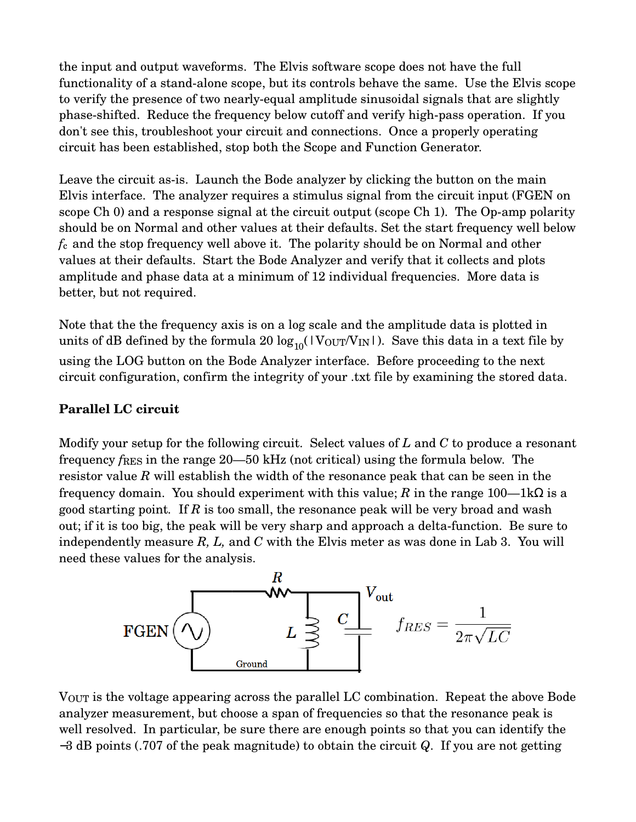the input and output waveforms. The Elvis software scope does not have the full functionality of a stand-alone scope, but its controls behave the same. Use the Elvis scope to verify the presence of two nearly-equal amplitude sinusoidal signals that are slightly phase-shifted. Reduce the frequency below cutoff and verify high-pass operation. If you don't see this, troubleshoot your circuit and connections. Once a properly operating circuit has been established, stop both the Scope and Function Generator.

Leave the circuit as-is. Launch the Bode analyzer by clicking the button on the main Elvis interface. The analyzer requires a stimulus signal from the circuit input (FGEN on scope  $Ch$  0) and a response signal at the circuit output (scope  $Ch$  1). The Op-amp polarity should be on Normal and other values at their defaults. Set the start frequency well below *f*c and the stop frequency well above it. The polarity should be on Normal and other values at their defaults. Start the Bode Analyzer and verify that it collects and plots amplitude and phase data at a minimum of 12 individual frequencies. More data is better, but not required.

Note that the the frequency axis is on a log scale and the amplitude data is plotted in units of dB defined by the formula 20  $\log_{10}(|\text{V}_{\text{OUT}}/V_{\text{IN}}|)$ . Save this data in a text file by using the LOG button on the Bode Analyzer interface. Before proceeding to the next circuit configuration, confirm the integrity of your .txt file by examining the stored data.

### **Parallel LC circuit**

Modify your setup for the following circuit. Select values of *L* and *C* to produce a resonant frequency *f*RES in the range 20—50 kHz (not critical) using the formula below. The resistor value *R* will establish the width of the resonance peak that can be seen in the frequency domain. You should experiment with this value; *R* in the range 100—1kΩ is a good starting point*.* If *R* is too small, the resonance peak will be very broad and wash out; if it is too big, the peak will be very sharp and approach a delta-function. Be sure to independently measure *R, L,* and *C* with the Elvis meter as was done in Lab 3. You will need these values for the analysis.



VOUT is the voltage appearing across the parallel LC combination. Repeat the above Bode analyzer measurement, but choose a span of frequencies so that the resonance peak is well resolved. In particular, be sure there are enough points so that you can identify the −3 dB points (.707 of the peak magnitude) to obtain the circuit *Q*. If you are not getting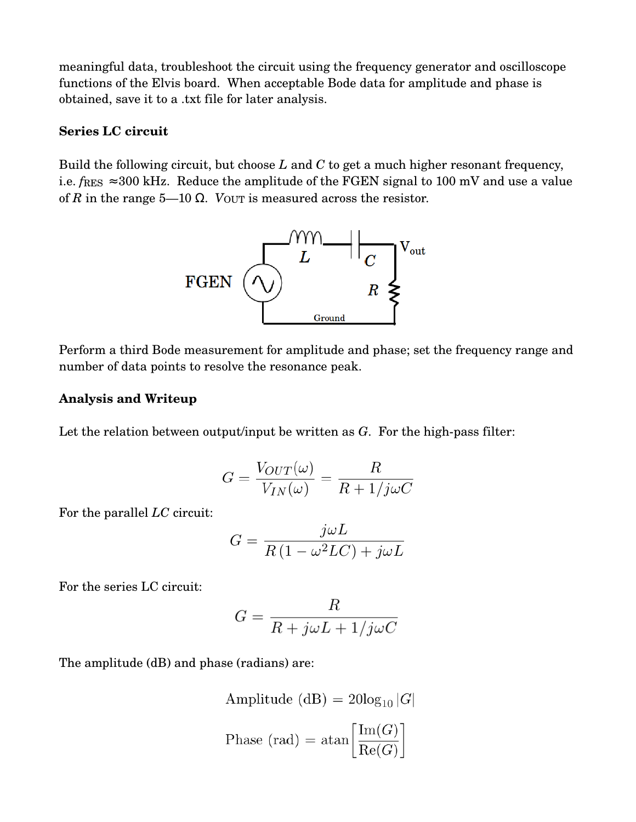meaningful data, troubleshoot the circuit using the frequency generator and oscilloscope functions of the Elvis board. When acceptable Bode data for amplitude and phase is obtained, save it to a .txt file for later analysis.

### **Series LC circuit**

Build the following circuit, but choose *L* and *C* to get a much higher resonant frequency, i.e.  $f_{RES} \approx 300 \text{ kHz}$ . Reduce the amplitude of the FGEN signal to 100 mV and use a value of *R* in the range 5—10  $\Omega$ . *V*OUT is measured across the resistor.



Perform a third Bode measurement for amplitude and phase; set the frequency range and number of data points to resolve the resonance peak.

### **Analysis and Writeup**

Let the relation between output/input be written as  $G$ . For the high-pass filter:

$$
G = \frac{V_{OUT}(\omega)}{V_{IN}(\omega)} = \frac{R}{R + 1/j\omega C}
$$

For the parallel *LC* circuit:

$$
G = \frac{j\omega L}{R\left(1 - \omega^2 LC\right) + j\omega L}
$$

For the series LC circuit:

$$
G = \frac{R}{R + j\omega L + 1/j\omega C}
$$

The amplitude (dB) and phase (radians) are:

Amplitude (dB) = 
$$
20\log_{10} |G|
$$
  
Phase (rad) =  $\text{atan}\left[\frac{\text{Im}(G)}{\text{Re}(G)}\right]$